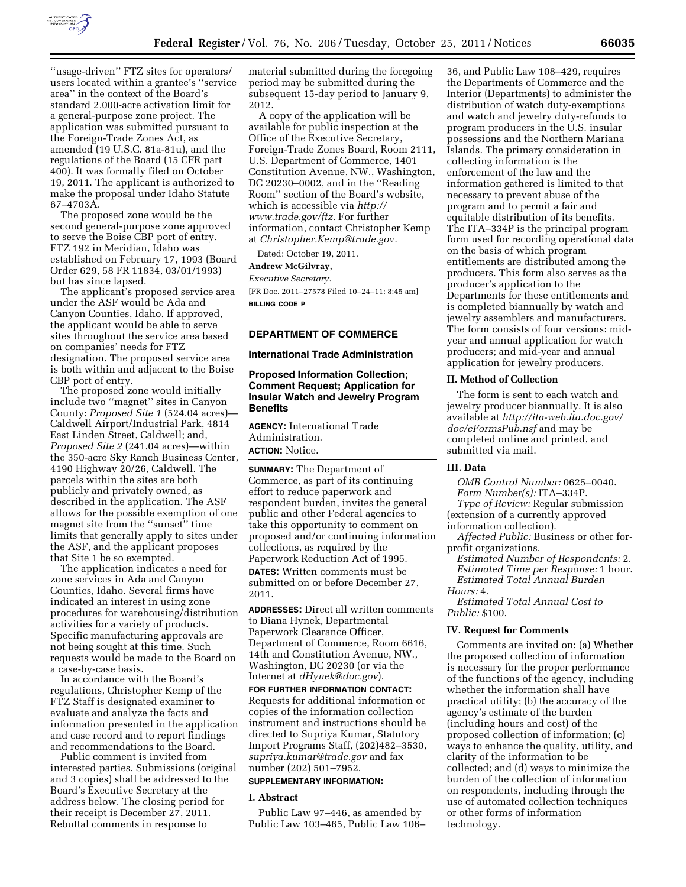

''usage-driven'' FTZ sites for operators/ users located within a grantee's ''service area'' in the context of the Board's standard 2,000-acre activation limit for a general-purpose zone project. The application was submitted pursuant to the Foreign-Trade Zones Act, as amended (19 U.S.C. 81a-81u), and the regulations of the Board (15 CFR part 400). It was formally filed on October 19, 2011. The applicant is authorized to make the proposal under Idaho Statute 67–4703A.

The proposed zone would be the second general-purpose zone approved to serve the Boise CBP port of entry. FTZ 192 in Meridian, Idaho was established on February 17, 1993 (Board Order 629, 58 FR 11834, 03/01/1993) but has since lapsed.

The applicant's proposed service area under the ASF would be Ada and Canyon Counties, Idaho. If approved, the applicant would be able to serve sites throughout the service area based on companies' needs for FTZ designation. The proposed service area is both within and adjacent to the Boise CBP port of entry.

The proposed zone would initially include two ''magnet'' sites in Canyon County: *Proposed Site 1* (524.04 acres)— Caldwell Airport/Industrial Park, 4814 East Linden Street, Caldwell; and, *Proposed Site 2* (241.04 acres)—within the 350-acre Sky Ranch Business Center, 4190 Highway 20/26, Caldwell. The parcels within the sites are both publicly and privately owned, as described in the application. The ASF allows for the possible exemption of one magnet site from the ''sunset'' time limits that generally apply to sites under the ASF, and the applicant proposes that Site 1 be so exempted.

The application indicates a need for zone services in Ada and Canyon Counties, Idaho. Several firms have indicated an interest in using zone procedures for warehousing/distribution activities for a variety of products. Specific manufacturing approvals are not being sought at this time. Such requests would be made to the Board on a case-by-case basis.

In accordance with the Board's regulations, Christopher Kemp of the FTZ Staff is designated examiner to evaluate and analyze the facts and information presented in the application and case record and to report findings and recommendations to the Board.

Public comment is invited from interested parties. Submissions (original and 3 copies) shall be addressed to the Board's Executive Secretary at the address below. The closing period for their receipt is December 27, 2011. Rebuttal comments in response to

material submitted during the foregoing period may be submitted during the subsequent 15-day period to January 9, 2012.

A copy of the application will be available for public inspection at the Office of the Executive Secretary, Foreign-Trade Zones Board, Room 2111, U.S. Department of Commerce, 1401 Constitution Avenue, NW., Washington, DC 20230–0002, and in the ''Reading Room'' section of the Board's website, which is accessible via *[http://](http://www.trade.gov/ftz) [www.trade.gov/ftz.](http://www.trade.gov/ftz)* For further information, contact Christopher Kemp at *[Christopher.Kemp@trade.gov.](mailto:Christopher.Kemp@trade.gov)* 

Dated: October 19, 2011.

#### **Andrew McGilvray,**

*Executive Secretary.*  [FR Doc. 2011–27578 Filed 10–24–11; 8:45 am] **BILLING CODE P** 

## **DEPARTMENT OF COMMERCE**

## **International Trade Administration**

## **Proposed Information Collection; Comment Request; Application for Insular Watch and Jewelry Program Benefits**

**AGENCY:** International Trade Administration. **ACTION:** Notice.

**SUMMARY:** The Department of Commerce, as part of its continuing effort to reduce paperwork and respondent burden, invites the general public and other Federal agencies to take this opportunity to comment on proposed and/or continuing information collections, as required by the Paperwork Reduction Act of 1995.

**DATES:** Written comments must be submitted on or before December 27, 2011.

**ADDRESSES:** Direct all written comments to Diana Hynek, Departmental Paperwork Clearance Officer, Department of Commerce, Room 6616, 14th and Constitution Avenue, NW., Washington, DC 20230 (or via the Internet at *[dHynek@doc.gov](mailto:dHynek@doc.gov)*).

**FOR FURTHER INFORMATION CONTACT:**  Requests for additional information or copies of the information collection instrument and instructions should be directed to Supriya Kumar, Statutory Import Programs Staff, (202)482–3530, *[supriya.kumar@trade.gov](mailto:supriya.kumar@trade.gov)* and fax number (202) 501–7952.

# **SUPPLEMENTARY INFORMATION:**

#### **I. Abstract**

Public Law 97–446, as amended by Public Law 103–465, Public Law 106– 36, and Public Law 108–429, requires the Departments of Commerce and the Interior (Departments) to administer the distribution of watch duty-exemptions and watch and jewelry duty-refunds to program producers in the U.S. insular possessions and the Northern Mariana Islands. The primary consideration in collecting information is the enforcement of the law and the information gathered is limited to that necessary to prevent abuse of the program and to permit a fair and equitable distribution of its benefits. The ITA–334P is the principal program form used for recording operational data on the basis of which program entitlements are distributed among the producers. This form also serves as the producer's application to the Departments for these entitlements and is completed biannually by watch and jewelry assemblers and manufacturers. The form consists of four versions: midyear and annual application for watch producers; and mid-year and annual application for jewelry producers.

### **II. Method of Collection**

The form is sent to each watch and jewelry producer biannually. It is also available at *[http://ita-web.ita.doc.gov/](http://ita-web.ita.doc.gov/doc/eFormsPub.nsf) [doc/eFormsPub.nsf](http://ita-web.ita.doc.gov/doc/eFormsPub.nsf)* and may be completed online and printed, and submitted via mail.

### **III. Data**

*OMB Control Number:* 0625–0040. *Form Number(s):* ITA–334P.

*Type of Review:* Regular submission (extension of a currently approved

information collection).

*Affected Public:* Business or other forprofit organizations.

*Estimated Number of Respondents:* 2. *Estimated Time per Response:* 1 hour. *Estimated Total Annual Burden Hours:* 4.

*Estimated Total Annual Cost to Public:* \$100.

## **IV. Request for Comments**

Comments are invited on: (a) Whether the proposed collection of information is necessary for the proper performance of the functions of the agency, including whether the information shall have practical utility; (b) the accuracy of the agency's estimate of the burden (including hours and cost) of the proposed collection of information; (c) ways to enhance the quality, utility, and clarity of the information to be collected; and (d) ways to minimize the burden of the collection of information on respondents, including through the use of automated collection techniques or other forms of information technology.